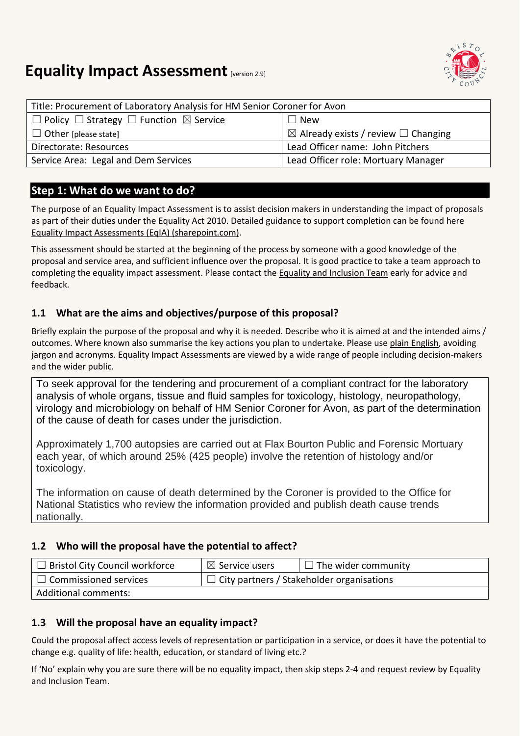

# **Equality Impact Assessment [version 2.9]**

| Title: Procurement of Laboratory Analysis for HM Senior Coroner for Avon |                                                     |  |
|--------------------------------------------------------------------------|-----------------------------------------------------|--|
| $\Box$ Policy $\Box$ Strategy $\Box$ Function $\boxtimes$ Service        | $\Box$ New                                          |  |
| $\Box$ Other [please state]                                              | $\boxtimes$ Already exists / review $\Box$ Changing |  |
| Directorate: Resources                                                   | Lead Officer name: John Pitchers                    |  |
| Service Area: Legal and Dem Services                                     | Lead Officer role: Mortuary Manager                 |  |

### **Step 1: What do we want to do?**

The purpose of an Equality Impact Assessment is to assist decision makers in understanding the impact of proposals as part of their duties under the Equality Act 2010. Detailed guidance to support completion can be found here [Equality Impact Assessments \(EqIA\) \(sharepoint.com\).](https://bristolcouncil.sharepoint.com/sites/Corporate/SitePages/equality-impact-assessments.aspx) 

This assessment should be started at the beginning of the process by someone with a good knowledge of the proposal and service area, and sufficient influence over the proposal. It is good practice to take a team approach to completing the equality impact assessment. Please contact the [Equality and Inclusion Team](mailto:equalities.team@bristol.gov.uk) early for advice and feedback.

#### **1.1 What are the aims and objectives/purpose of this proposal?**

Briefly explain the purpose of the proposal and why it is needed. Describe who it is aimed at and the intended aims / outcomes. Where known also summarise the key actions you plan to undertake. Please us[e plain English,](http://www.plainenglish.co.uk/) avoiding jargon and acronyms. Equality Impact Assessments are viewed by a wide range of people including decision-makers and the wider public.

To seek approval for the tendering and procurement of a compliant contract for the laboratory analysis of whole organs, tissue and fluid samples for toxicology, histology, neuropathology, virology and microbiology on behalf of HM Senior Coroner for Avon, as part of the determination of the cause of death for cases under the jurisdiction.

Approximately 1,700 autopsies are carried out at Flax Bourton Public and Forensic Mortuary each year, of which around 25% (425 people) involve the retention of histology and/or toxicology.

The information on cause of death determined by the Coroner is provided to the Office for National Statistics who review the information provided and publish death cause trends nationally.

#### **1.2 Who will the proposal have the potential to affect?**

| $\Box$ Bristol City Council workforce | $\boxtimes$ Service users                        | $\Box$ The wider community |
|---------------------------------------|--------------------------------------------------|----------------------------|
| $\Box$ Commissioned services          | $\Box$ City partners / Stakeholder organisations |                            |
| Additional comments:                  |                                                  |                            |

#### **1.3 Will the proposal have an equality impact?**

Could the proposal affect access levels of representation or participation in a service, or does it have the potential to change e.g. quality of life: health, education, or standard of living etc.?

If 'No' explain why you are sure there will be no equality impact, then skip steps 2-4 and request review by Equality and Inclusion Team.